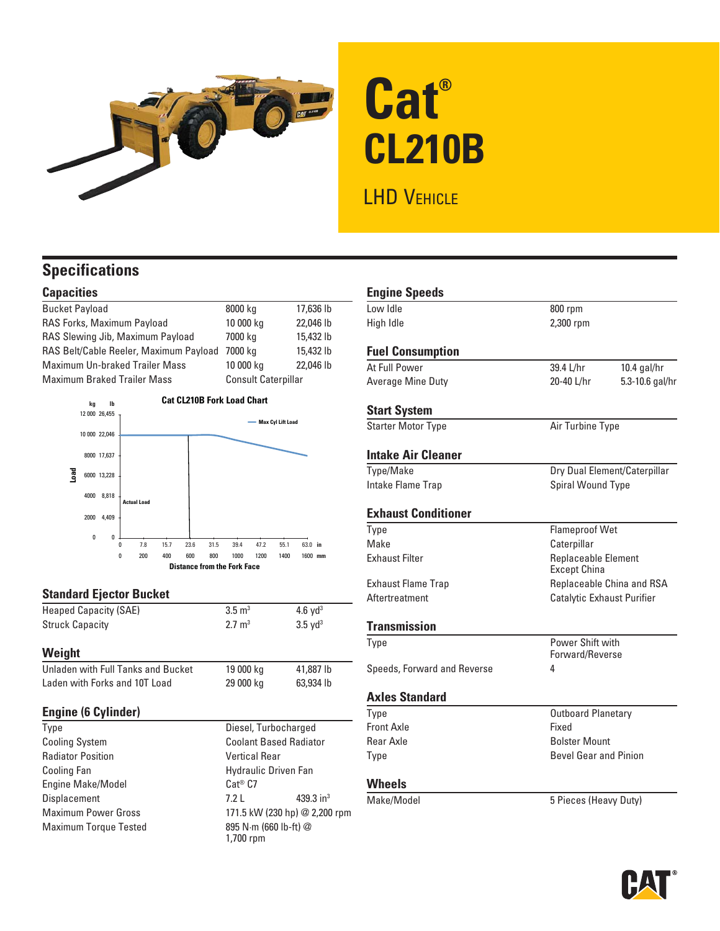

# **Cat® CL210B**

# LHD VEHICLE

# **Specifications**

# **Capacities**

| <b>Bucket Payload</b>                  | 8000 kg                    | 17,636 lb |
|----------------------------------------|----------------------------|-----------|
| RAS Forks, Maximum Payload             | 10 000 kg                  | 22,046 lb |
| RAS Slewing Jib, Maximum Payload       | 7000 kg                    | 15,432 lb |
| RAS Belt/Cable Reeler, Maximum Payload | 7000 ka                    | 15,432 lb |
| <b>Maximum Un-braked Trailer Mass</b>  | 10 000 kg                  | 22,046 lb |
| <b>Maximum Braked Trailer Mass</b>     | <b>Consult Caterpillar</b> |           |
|                                        |                            |           |



## **Standard Ejector Bucket**

| Weight                       |                   |                       |  |
|------------------------------|-------------------|-----------------------|--|
| <b>Struck Capacity</b>       | $2.7 \text{ m}^3$ | $3.5 \text{ vd}^3$    |  |
| <b>Heaped Capacity (SAE)</b> | $3.5 \text{ m}^3$ | $4.6$ vd <sup>3</sup> |  |

| Unladen with Full Tanks and Bucket | 19 000 kg | 41,887 lb |
|------------------------------------|-----------|-----------|
| Laden with Forks and 10T Load      | 29 000 kg | 63,934 lb |

## **Engine (6 Cylinder)**

| Type                         | Diesel, Turbocharged               |  |
|------------------------------|------------------------------------|--|
| <b>Cooling System</b>        | <b>Coolant Based Radiator</b>      |  |
| <b>Radiator Position</b>     | <b>Vertical Rear</b>               |  |
| <b>Cooling Fan</b>           | <b>Hydraulic Driven Fan</b>        |  |
| Engine Make/Model            | $Cat^{\circledR} C7$               |  |
| Displacement                 | 439.3 in <sup>3</sup><br>7.21      |  |
| <b>Maximum Power Gross</b>   | 171.5 kW (230 hp) @ 2,200 rpm      |  |
| <b>Maximum Torque Tested</b> | 895 N·m (660 lb-ft) @<br>1,700 rpm |  |

| <b>Engine Speeds</b>        |                                                   |                              |
|-----------------------------|---------------------------------------------------|------------------------------|
| Low Idle                    | 800 rpm                                           |                              |
| High Idle                   | 2,300 rpm                                         |                              |
| <b>Fuel Consumption</b>     |                                                   |                              |
| At Full Power               | 39.4 L/hr                                         | $10.4$ gal/hr                |
| Average Mine Duty           | 20-40 L/hr                                        | 5.3-10.6 gal/hr              |
| <b>Start System</b>         |                                                   |                              |
| <b>Starter Motor Type</b>   | Air Turbine Type                                  |                              |
| <b>Intake Air Cleaner</b>   |                                                   |                              |
| Type/Make                   |                                                   | Dry Dual Element/Caterpillar |
| Intake Flame Trap           | Spiral Wound Type                                 |                              |
| <b>Exhaust Conditioner</b>  |                                                   |                              |
| Type                        | <b>Flameproof Wet</b>                             |                              |
| Make                        | Caterpillar                                       |                              |
| <b>Fxhaust Filter</b>       | <b>Replaceable Element</b><br><b>Except China</b> |                              |
| <b>Exhaust Flame Trap</b>   | Replaceable China and RSA                         |                              |
| Aftertreatment              | Catalytic Exhaust Purifier                        |                              |
| <b>Transmission</b>         |                                                   |                              |
| Type                        | Power Shift with                                  |                              |
|                             | Forward/Reverse                                   |                              |
| Speeds, Forward and Reverse | 4                                                 |                              |
| <b>Axles Standard</b>       |                                                   |                              |
| Type                        | <b>Outboard Planetary</b>                         |                              |
| <b>Front Axle</b>           | Fixed                                             |                              |
| Rear Axle                   | <b>Bolster Mount</b>                              |                              |
| <b>Type</b>                 | <b>Bevel Gear and Pinion</b>                      |                              |
| <b>Wheels</b>               |                                                   |                              |
| Make/Model                  | 5 Pieces (Heavy Duty)                             |                              |

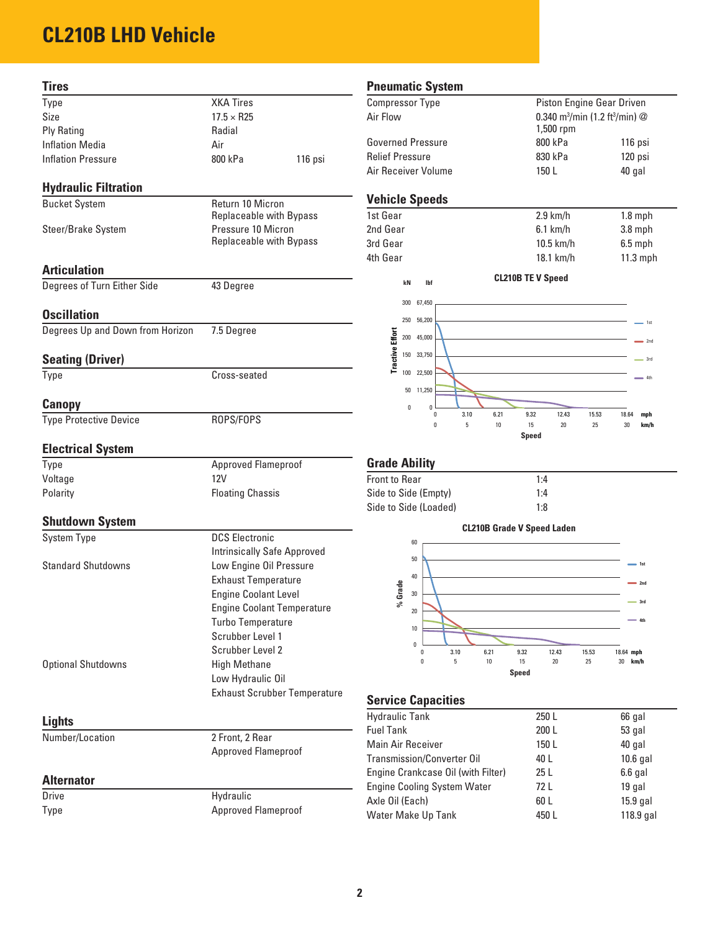# **CL210B LHD Vehicle**

| Tires                            |                                                       | <b>Pneur</b>               |
|----------------------------------|-------------------------------------------------------|----------------------------|
| Type                             | <b>XKA Tires</b>                                      | Compre                     |
| Size                             | $17.5 \times R25$                                     | Air Floy                   |
| <b>Ply Rating</b>                | Radial                                                |                            |
| <b>Inflation Media</b>           | Air                                                   | Govern                     |
| <b>Inflation Pressure</b>        | 800 kPa<br>116 psi                                    | <b>Relief F</b><br>Air Rec |
| <b>Hydraulic Filtration</b>      |                                                       |                            |
| <b>Bucket System</b>             | Return 10 Micron                                      | Vehic                      |
|                                  | <b>Replaceable with Bypass</b>                        | 1st Gea                    |
| Steer/Brake System               | Pressure 10 Micron                                    | 2nd Ge                     |
|                                  | <b>Replaceable with Bypass</b>                        | 3rd Ge:<br>4th Gea         |
| <b>Articulation</b>              |                                                       |                            |
| Degrees of Turn Either Side      | 43 Degree                                             |                            |
| <b>Oscillation</b>               |                                                       |                            |
| Degrees Up and Down from Horizon | 7.5 Degree                                            |                            |
| <b>Seating (Driver)</b>          |                                                       |                            |
| Type                             | Cross-seated                                          |                            |
|                                  |                                                       |                            |
| <b>Canopy</b>                    |                                                       |                            |
| <b>Type Protective Device</b>    | ROPS/FOPS                                             |                            |
| <b>Electrical System</b>         |                                                       |                            |
| Type                             | Approved Flameproof                                   | Grade                      |
| Voltage                          | <b>12V</b>                                            |                            |
| Polarity                         | <b>Floating Chassis</b>                               |                            |
|                                  |                                                       | Side to                    |
| <b>Shutdown System</b>           |                                                       |                            |
| <b>System Type</b>               | <b>DCS Electronic</b>                                 |                            |
| <b>Standard Shutdowns</b>        | <b>Intrinsically Safe Approved</b>                    |                            |
|                                  | Low Engine Oil Pressure<br><b>Exhaust Temperature</b> |                            |
|                                  |                                                       |                            |
|                                  | <b>Engine Coolant Level</b>                           |                            |
|                                  | <b>Engine Coolant Temperature</b>                     |                            |
|                                  | <b>Turbo Temperature</b>                              |                            |
|                                  | Scrubber Level 1                                      |                            |
|                                  | Scrubber Level 2                                      |                            |
| <b>Optional Shutdowns</b>        | <b>High Methane</b>                                   |                            |
|                                  | Low Hydraulic Oil                                     |                            |
|                                  | <b>Exhaust Scrubber Temperature</b>                   | Servio                     |
| <b>Lights</b>                    |                                                       | Hydrau                     |
| Number/Location                  | 2 Front, 2 Rear                                       | <b>Fuel Ta</b><br>Main A   |
|                                  | Approved Flameproof                                   | Transm                     |
| <b>Alternator</b>                |                                                       | Engine                     |
| Drive                            | Hydraulic                                             | Engine<br>Axle Oi          |
| Type                             | Approved Flameproof                                   | Water                      |

# matic System

| <b>Compressor Type</b>   | Piston Engine Gear Driven                                               |         |
|--------------------------|-------------------------------------------------------------------------|---------|
| Air Flow                 | 0.340 m <sup>3</sup> /min (1.2 ft <sup>3</sup> /min) $@$<br>$1,500$ rpm |         |
| <b>Governed Pressure</b> | 800 kPa                                                                 | 116 psi |
| Relief Pressure          | 830 kPa                                                                 | 120 psi |
| Air Receiver Volume      | 150 L                                                                   | 40 gal  |

# **Le Speeds**

**kN**

**lbf**

| 1st Gear | $2.9$ km/h  | $1.8$ mph  |
|----------|-------------|------------|
| 2nd Gear | $6.1$ km/h  | $3.8$ mph  |
| 3rd Gear | $10.5$ km/h | $6.5$ mph  |
| 4th Gear | $18.1$ km/h | $11.3$ mph |
|          |             |            |

#### **CL210B TE V Speed**



# **e Ability**

| <b>Front to Rear</b>  | 1:4 |
|-----------------------|-----|
| Side to Side (Empty)  | 1:4 |
| Side to Side (Loaded) | 1:8 |



# **Service Capacities**

| <b>Hydraulic Tank</b>              | 250 L           | 66 gal      |
|------------------------------------|-----------------|-------------|
| <b>Fuel Tank</b>                   | 200 L           | 53 gal      |
| Main Air Receiver                  | 150L            | 40 gal      |
| Transmission/Converter Oil         | 40 L            | $10.6$ gal  |
| Engine Crankcase Oil (with Filter) | 25 <sub>L</sub> | $6.6$ gal   |
| <b>Engine Cooling System Water</b> | 72 L            | 19 gal      |
| Axle Oil (Each)                    | 60 L            | $15.9$ gal  |
| Water Make Up Tank                 | 450 L           | $118.9$ gal |
|                                    |                 |             |

## **2**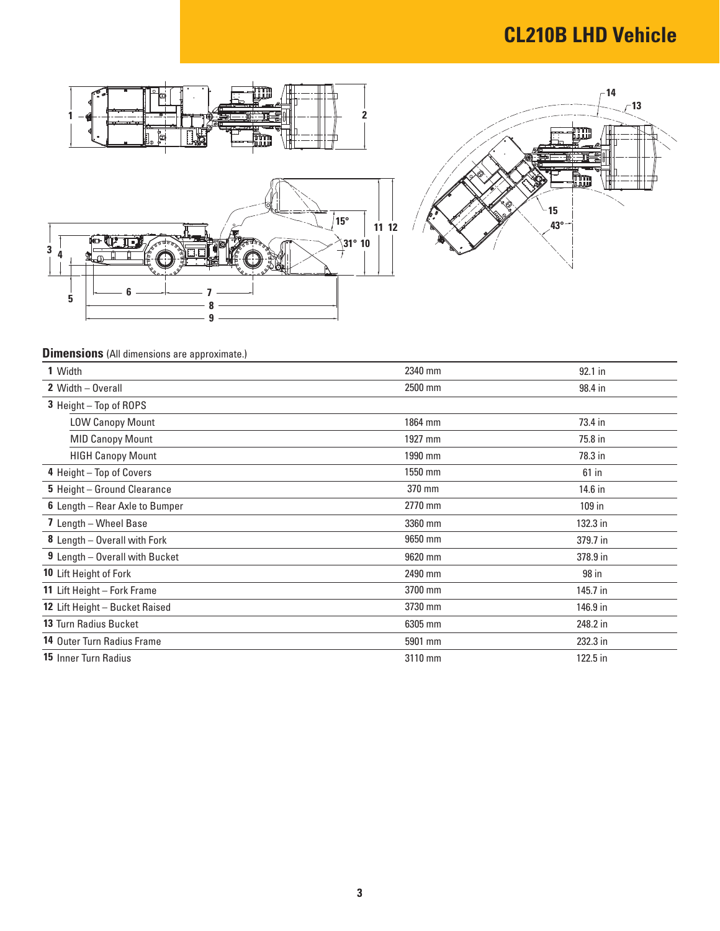# **CL210B LHD Vehicle**





# **Dimensions** (All dimensions are approximate.)

| 1 Width                           | 2340 mm | 92.1 in  |
|-----------------------------------|---------|----------|
| 2 Width - Overall                 | 2500 mm | 98.4 in  |
| 3 Height - Top of ROPS            |         |          |
| <b>LOW Canopy Mount</b>           | 1864 mm | 73.4 in  |
| <b>MID Canopy Mount</b>           | 1927 mm | 75.8 in  |
| <b>HIGH Canopy Mount</b>          | 1990 mm | 78.3 in  |
| 4 Height - Top of Covers          | 1550 mm | $61$ in  |
| 5 Height - Ground Clearance       | 370 mm  | 14.6 in  |
| 6 Length - Rear Axle to Bumper    | 2770 mm | 109 in   |
| 7 Length - Wheel Base             | 3360 mm | 132.3 in |
| 8 Length - Overall with Fork      | 9650 mm | 379.7 in |
| 9 Length - Overall with Bucket    | 9620 mm | 378.9 in |
| 10 Lift Height of Fork            | 2490 mm | 98 in    |
| 11 Lift Height - Fork Frame       | 3700 mm | 145.7 in |
| 12 Lift Height - Bucket Raised    | 3730 mm | 146.9 in |
| <b>13 Turn Radius Bucket</b>      | 6305 mm | 248.2 in |
| <b>14 Outer Turn Radius Frame</b> | 5901 mm | 232.3 in |
| <b>15 Inner Turn Radius</b>       | 3110 mm | 122.5 in |
|                                   |         |          |